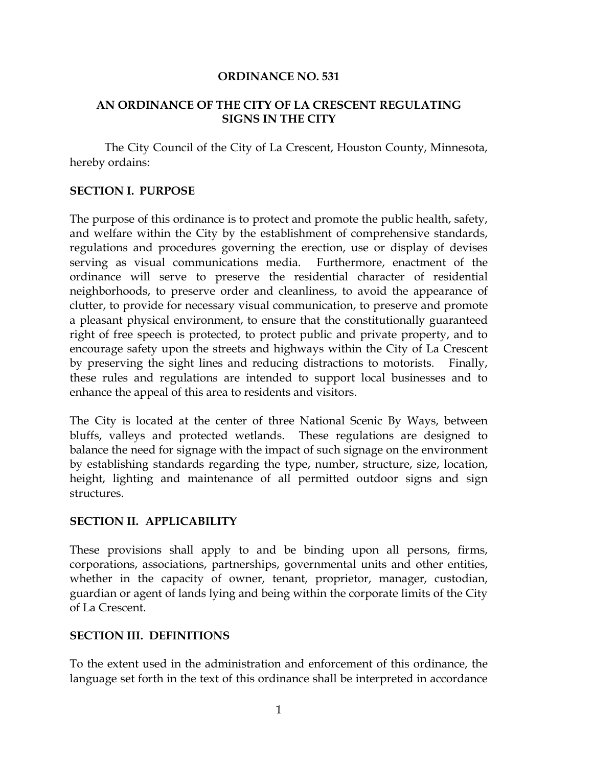### **ORDINANCE NO. 531**

### **AN ORDINANCE OF THE CITY OF LA CRESCENT REGULATING SIGNS IN THE CITY**

The City Council of the City of La Crescent, Houston County, Minnesota, hereby ordains:

#### **SECTION I. PURPOSE**

The purpose of this ordinance is to protect and promote the public health, safety, and welfare within the City by the establishment of comprehensive standards, regulations and procedures governing the erection, use or display of devises serving as visual communications media. Furthermore, enactment of the ordinance will serve to preserve the residential character of residential neighborhoods, to preserve order and cleanliness, to avoid the appearance of clutter, to provide for necessary visual communication, to preserve and promote a pleasant physical environment, to ensure that the constitutionally guaranteed right of free speech is protected, to protect public and private property, and to encourage safety upon the streets and highways within the City of La Crescent by preserving the sight lines and reducing distractions to motorists. Finally, these rules and regulations are intended to support local businesses and to enhance the appeal of this area to residents and visitors.

The City is located at the center of three National Scenic By Ways, between bluffs, valleys and protected wetlands. These regulations are designed to balance the need for signage with the impact of such signage on the environment by establishing standards regarding the type, number, structure, size, location, height, lighting and maintenance of all permitted outdoor signs and sign structures.

### **SECTION II. APPLICABILITY**

These provisions shall apply to and be binding upon all persons, firms, corporations, associations, partnerships, governmental units and other entities, whether in the capacity of owner, tenant, proprietor, manager, custodian, guardian or agent of lands lying and being within the corporate limits of the City of La Crescent.

### **SECTION III. DEFINITIONS**

To the extent used in the administration and enforcement of this ordinance, the language set forth in the text of this ordinance shall be interpreted in accordance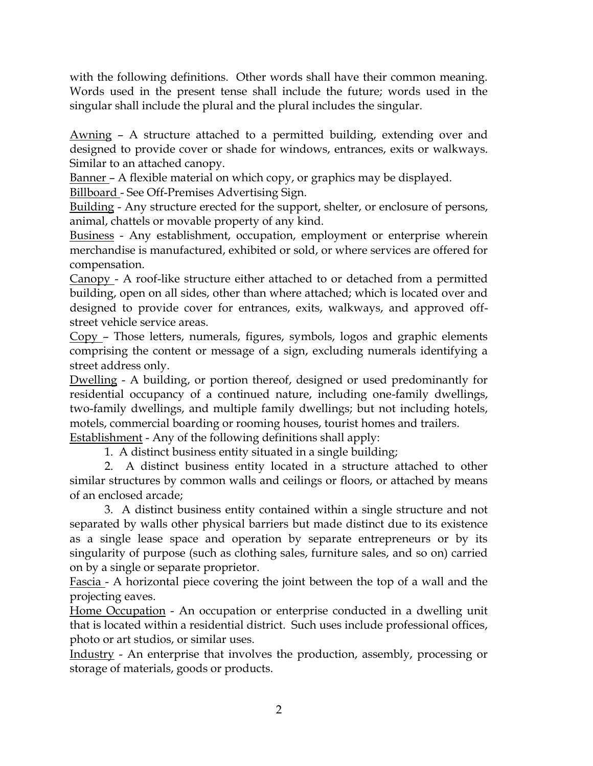with the following definitions. Other words shall have their common meaning. Words used in the present tense shall include the future; words used in the singular shall include the plural and the plural includes the singular.

Awning – A structure attached to a permitted building, extending over and designed to provide cover or shade for windows, entrances, exits or walkways. Similar to an attached canopy.

Banner – A flexible material on which copy, or graphics may be displayed.

Billboard - See Off-Premises Advertising Sign.

Building - Any structure erected for the support, shelter, or enclosure of persons, animal, chattels or movable property of any kind.

Business - Any establishment, occupation, employment or enterprise wherein merchandise is manufactured, exhibited or sold, or where services are offered for compensation.

Canopy - A roof-like structure either attached to or detached from a permitted building, open on all sides, other than where attached; which is located over and designed to provide cover for entrances, exits, walkways, and approved offstreet vehicle service areas.

Copy – Those letters, numerals, figures, symbols, logos and graphic elements comprising the content or message of a sign, excluding numerals identifying a street address only.

Dwelling - A building, or portion thereof, designed or used predominantly for residential occupancy of a continued nature, including one-family dwellings, two-family dwellings, and multiple family dwellings; but not including hotels, motels, commercial boarding or rooming houses, tourist homes and trailers.

Establishment - Any of the following definitions shall apply:

1. A distinct business entity situated in a single building;

2. A distinct business entity located in a structure attached to other similar structures by common walls and ceilings or floors, or attached by means of an enclosed arcade;

3. A distinct business entity contained within a single structure and not separated by walls other physical barriers but made distinct due to its existence as a single lease space and operation by separate entrepreneurs or by its singularity of purpose (such as clothing sales, furniture sales, and so on) carried on by a single or separate proprietor.

Fascia - A horizontal piece covering the joint between the top of a wall and the projecting eaves.

Home Occupation - An occupation or enterprise conducted in a dwelling unit that is located within a residential district. Such uses include professional offices, photo or art studios, or similar uses.

Industry - An enterprise that involves the production, assembly, processing or storage of materials, goods or products.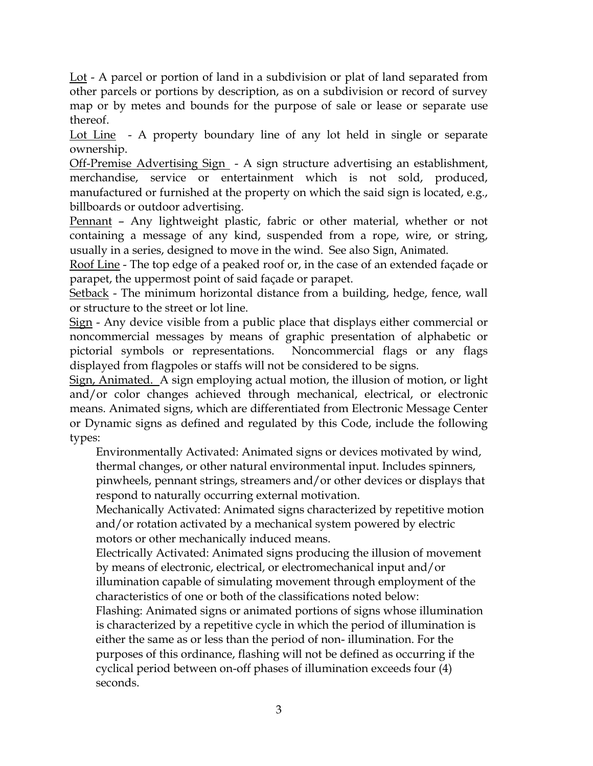Lot - A parcel or portion of land in a subdivision or plat of land separated from other parcels or portions by description, as on a subdivision or record of survey map or by metes and bounds for the purpose of sale or lease or separate use thereof.

Lot Line - A property boundary line of any lot held in single or separate ownership.

Off-Premise Advertising Sign - A sign structure advertising an establishment, merchandise, service or entertainment which is not sold, produced, manufactured or furnished at the property on which the said sign is located, e.g., billboards or outdoor advertising.

Pennant – Any lightweight plastic, fabric or other material, whether or not containing a message of any kind, suspended from a rope, wire, or string, usually in a series, designed to move in the wind. See also Sign, Animated.

Roof Line - The top edge of a peaked roof or, in the case of an extended façade or parapet, the uppermost point of said façade or parapet.

Setback - The minimum horizontal distance from a building, hedge, fence, wall or structure to the street or lot line.

Sign - Any device visible from a public place that displays either commercial or noncommercial messages by means of graphic presentation of alphabetic or pictorial symbols or representations. Noncommercial flags or any flags displayed from flagpoles or staffs will not be considered to be signs.

Sign, Animated. A sign employing actual motion, the illusion of motion, or light and/or color changes achieved through mechanical, electrical, or electronic means. Animated signs, which are differentiated from Electronic Message Center or Dynamic signs as defined and regulated by this Code, include the following types:

Environmentally Activated: Animated signs or devices motivated by wind, thermal changes, or other natural environmental input. Includes spinners, pinwheels, pennant strings, streamers and/or other devices or displays that

respond to naturally occurring external motivation.

Mechanically Activated: Animated signs characterized by repetitive motion and/or rotation activated by a mechanical system powered by electric motors or other mechanically induced means.

Electrically Activated: Animated signs producing the illusion of movement by means of electronic, electrical, or electromechanical input and/or illumination capable of simulating movement through employment of the

characteristics of one or both of the classifications noted below:

Flashing: Animated signs or animated portions of signs whose illumination is characterized by a repetitive cycle in which the period of illumination is either the same as or less than the period of non- illumination. For the purposes of this ordinance, flashing will not be defined as occurring if the cyclical period between on-off phases of illumination exceeds four (4) seconds.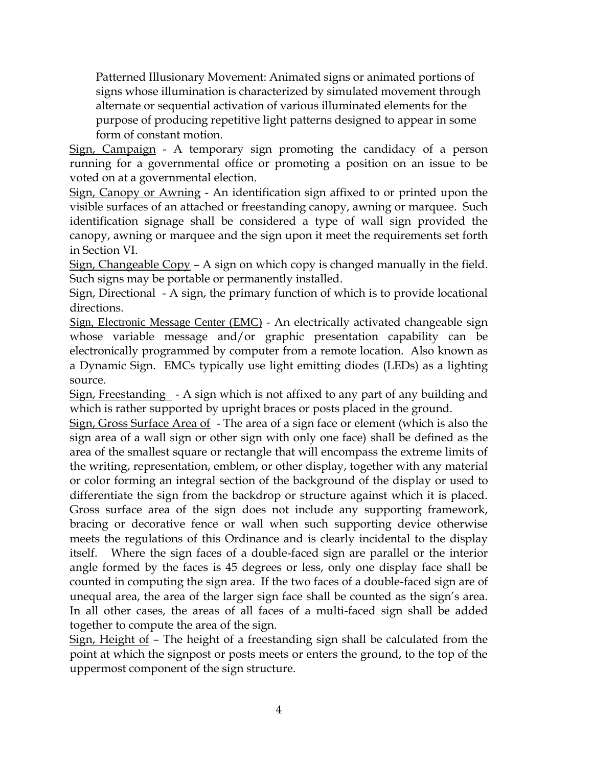Patterned Illusionary Movement: Animated signs or animated portions of signs whose illumination is characterized by simulated movement through alternate or sequential activation of various illuminated elements for the purpose of producing repetitive light patterns designed to appear in some form of constant motion.

Sign, Campaign - A temporary sign promoting the candidacy of a person running for a governmental office or promoting a position on an issue to be voted on at a governmental election.

Sign, Canopy or Awning - An identification sign affixed to or printed upon the visible surfaces of an attached or freestanding canopy, awning or marquee. Such identification signage shall be considered a type of wall sign provided the canopy, awning or marquee and the sign upon it meet the requirements set forth in Section VI.

Sign, Changeable Copy  $-$  A sign on which copy is changed manually in the field. Such signs may be portable or permanently installed.

Sign, Directional - A sign, the primary function of which is to provide locational directions.

Sign, Electronic Message Center (EMC) - An electrically activated changeable sign whose variable message and/or graphic presentation capability can be electronically programmed by computer from a remote location. Also known as a Dynamic Sign. EMCs typically use light emitting diodes (LEDs) as a lighting source.

Sign, Freestanding - A sign which is not affixed to any part of any building and which is rather supported by upright braces or posts placed in the ground.

Sign, Gross Surface Area of - The area of a sign face or element (which is also the sign area of a wall sign or other sign with only one face) shall be defined as the area of the smallest square or rectangle that will encompass the extreme limits of the writing, representation, emblem, or other display, together with any material or color forming an integral section of the background of the display or used to differentiate the sign from the backdrop or structure against which it is placed. Gross surface area of the sign does not include any supporting framework, bracing or decorative fence or wall when such supporting device otherwise meets the regulations of this Ordinance and is clearly incidental to the display itself. Where the sign faces of a double-faced sign are parallel or the interior angle formed by the faces is 45 degrees or less, only one display face shall be counted in computing the sign area. If the two faces of a double-faced sign are of unequal area, the area of the larger sign face shall be counted as the sign's area. In all other cases, the areas of all faces of a multi-faced sign shall be added together to compute the area of the sign.

Sign, Height of – The height of a freestanding sign shall be calculated from the point at which the signpost or posts meets or enters the ground, to the top of the uppermost component of the sign structure.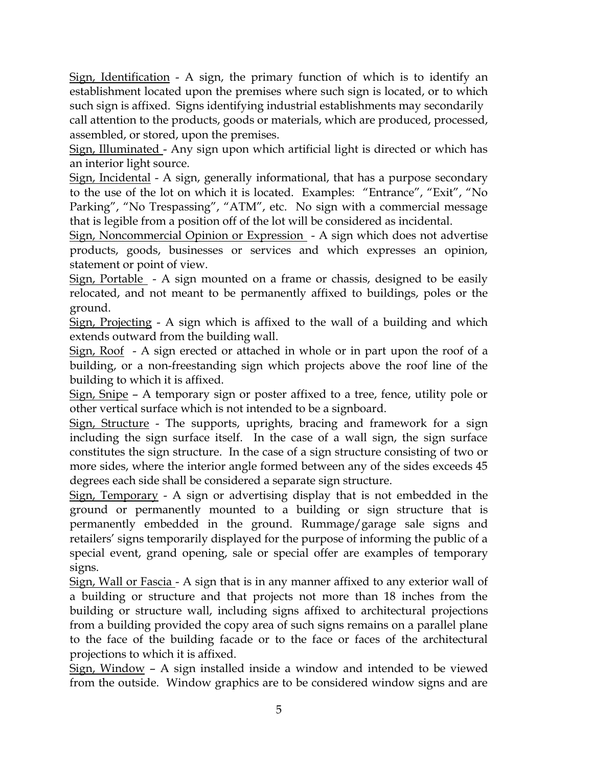Sign, Identification - A sign, the primary function of which is to identify an establishment located upon the premises where such sign is located, or to which such sign is affixed. Signs identifying industrial establishments may secondarily call attention to the products, goods or materials, which are produced, processed, assembled, or stored, upon the premises.

Sign, Illuminated - Any sign upon which artificial light is directed or which has an interior light source.

Sign, Incidental - A sign, generally informational, that has a purpose secondary to the use of the lot on which it is located. Examples: "Entrance", "Exit", "No Parking", "No Trespassing", "ATM", etc. No sign with a commercial message that is legible from a position off of the lot will be considered as incidental.

Sign, Noncommercial Opinion or Expression - A sign which does not advertise products, goods, businesses or services and which expresses an opinion, statement or point of view.

Sign, Portable - A sign mounted on a frame or chassis, designed to be easily relocated, and not meant to be permanently affixed to buildings, poles or the ground.

Sign, Projecting - A sign which is affixed to the wall of a building and which extends outward from the building wall.

Sign, Roof - A sign erected or attached in whole or in part upon the roof of a building, or a non-freestanding sign which projects above the roof line of the building to which it is affixed.

Sign, Snipe – A temporary sign or poster affixed to a tree, fence, utility pole or other vertical surface which is not intended to be a signboard.

Sign, Structure - The supports, uprights, bracing and framework for a sign including the sign surface itself. In the case of a wall sign, the sign surface constitutes the sign structure. In the case of a sign structure consisting of two or more sides, where the interior angle formed between any of the sides exceeds 45 degrees each side shall be considered a separate sign structure.

Sign, Temporary - A sign or advertising display that is not embedded in the ground or permanently mounted to a building or sign structure that is permanently embedded in the ground. Rummage/garage sale signs and retailers' signs temporarily displayed for the purpose of informing the public of a special event, grand opening, sale or special offer are examples of temporary signs.

Sign, Wall or Fascia - A sign that is in any manner affixed to any exterior wall of a building or structure and that projects not more than 18 inches from the building or structure wall, including signs affixed to architectural projections from a building provided the copy area of such signs remains on a parallel plane to the face of the building facade or to the face or faces of the architectural projections to which it is affixed.

Sign, Window – A sign installed inside a window and intended to be viewed from the outside. Window graphics are to be considered window signs and are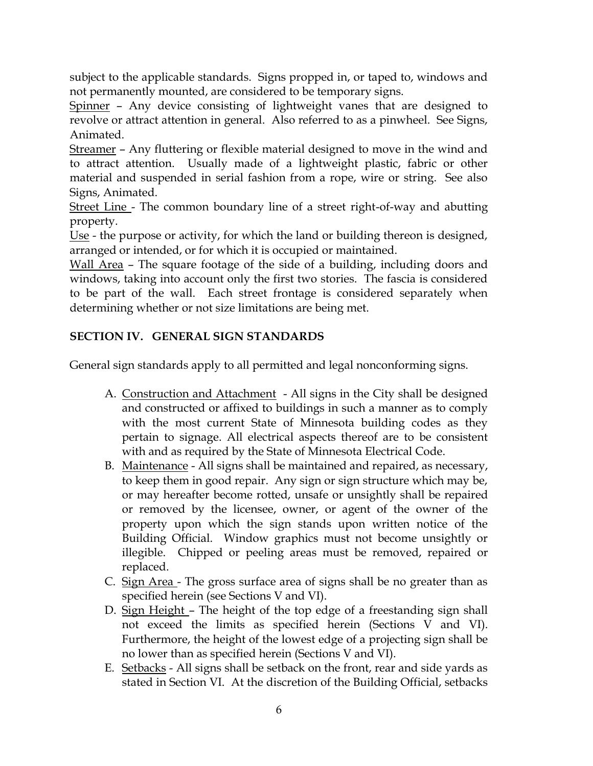subject to the applicable standards. Signs propped in, or taped to, windows and not permanently mounted, are considered to be temporary signs.

Spinner – Any device consisting of lightweight vanes that are designed to revolve or attract attention in general. Also referred to as a pinwheel. See Signs, Animated.

Streamer – Any fluttering or flexible material designed to move in the wind and to attract attention. Usually made of a lightweight plastic, fabric or other material and suspended in serial fashion from a rope, wire or string. See also Signs, Animated.

Street Line - The common boundary line of a street right-of-way and abutting property.

Use - the purpose or activity, for which the land or building thereon is designed, arranged or intended, or for which it is occupied or maintained.

Wall Area – The square footage of the side of a building, including doors and windows, taking into account only the first two stories. The fascia is considered to be part of the wall. Each street frontage is considered separately when determining whether or not size limitations are being met.

# **SECTION IV. GENERAL SIGN STANDARDS**

General sign standards apply to all permitted and legal nonconforming signs.

- A. Construction and Attachment All signs in the City shall be designed and constructed or affixed to buildings in such a manner as to comply with the most current State of Minnesota building codes as they pertain to signage. All electrical aspects thereof are to be consistent with and as required by the State of Minnesota Electrical Code.
- B. Maintenance All signs shall be maintained and repaired, as necessary, to keep them in good repair. Any sign or sign structure which may be, or may hereafter become rotted, unsafe or unsightly shall be repaired or removed by the licensee, owner, or agent of the owner of the property upon which the sign stands upon written notice of the Building Official. Window graphics must not become unsightly or illegible. Chipped or peeling areas must be removed, repaired or replaced.
- C. Sign Area The gross surface area of signs shall be no greater than as specified herein (see Sections V and VI).
- D. Sign Height The height of the top edge of a freestanding sign shall not exceed the limits as specified herein (Sections V and VI). Furthermore, the height of the lowest edge of a projecting sign shall be no lower than as specified herein (Sections V and VI).
- E. Setbacks All signs shall be setback on the front, rear and side yards as stated in Section VI. At the discretion of the Building Official, setbacks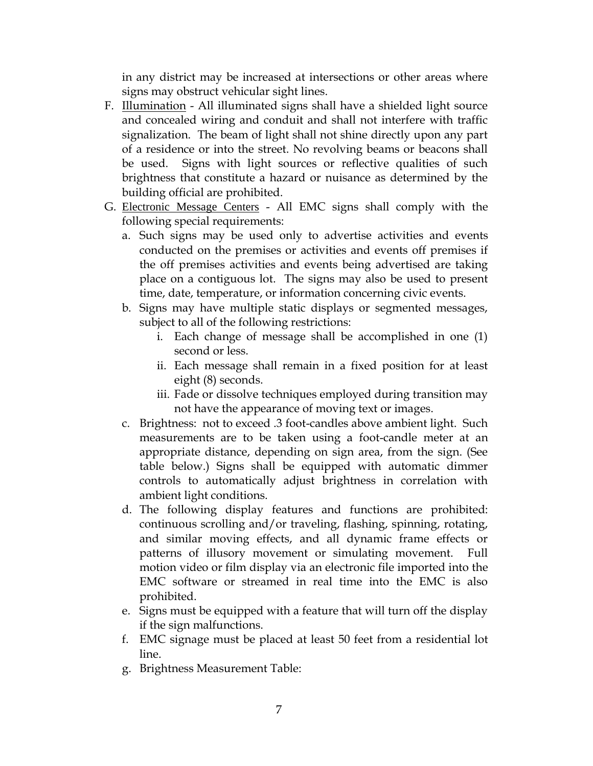in any district may be increased at intersections or other areas where signs may obstruct vehicular sight lines.

- F. Illumination All illuminated signs shall have a shielded light source and concealed wiring and conduit and shall not interfere with traffic signalization. The beam of light shall not shine directly upon any part of a residence or into the street. No revolving beams or beacons shall be used. Signs with light sources or reflective qualities of such brightness that constitute a hazard or nuisance as determined by the building official are prohibited.
- G. Electronic Message Centers All EMC signs shall comply with the following special requirements:
	- a. Such signs may be used only to advertise activities and events conducted on the premises or activities and events off premises if the off premises activities and events being advertised are taking place on a contiguous lot. The signs may also be used to present time, date, temperature, or information concerning civic events.
	- b. Signs may have multiple static displays or segmented messages, subject to all of the following restrictions:
		- i. Each change of message shall be accomplished in one (1) second or less.
		- ii. Each message shall remain in a fixed position for at least eight (8) seconds.
		- iii. Fade or dissolve techniques employed during transition may not have the appearance of moving text or images.
	- c. Brightness: not to exceed .3 foot-candles above ambient light. Such measurements are to be taken using a foot-candle meter at an appropriate distance, depending on sign area, from the sign. (See table below.) Signs shall be equipped with automatic dimmer controls to automatically adjust brightness in correlation with ambient light conditions.
	- d. The following display features and functions are prohibited: continuous scrolling and/or traveling, flashing, spinning, rotating, and similar moving effects, and all dynamic frame effects or patterns of illusory movement or simulating movement. Full motion video or film display via an electronic file imported into the EMC software or streamed in real time into the EMC is also prohibited.
	- e. Signs must be equipped with a feature that will turn off the display if the sign malfunctions.
	- f. EMC signage must be placed at least 50 feet from a residential lot line.
	- g. Brightness Measurement Table: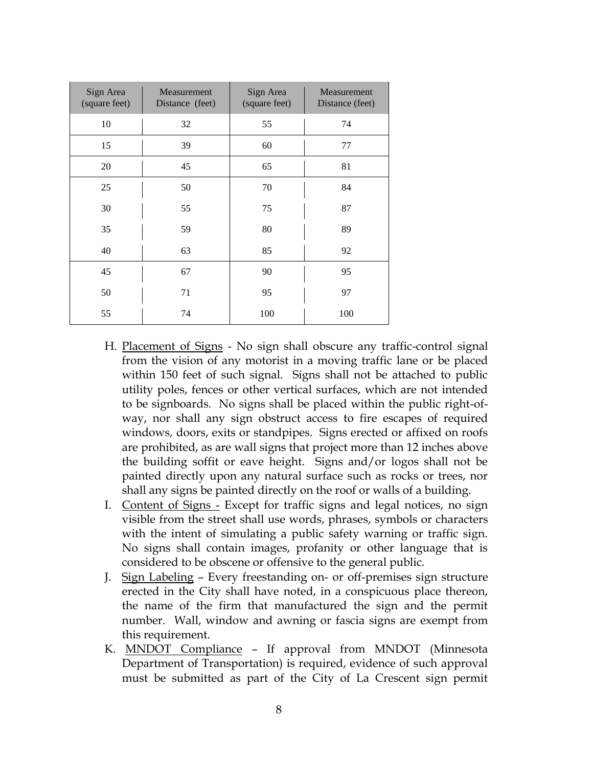| Sign Area<br>(square feet) | Measurement<br>Distance (feet) | Sign Area<br>(square feet) | Measurement<br>Distance (feet) |
|----------------------------|--------------------------------|----------------------------|--------------------------------|
| 10                         | 32                             | 55                         | 74                             |
| 15                         | 39                             | 60                         | 77                             |
| 20                         | 45                             | 65                         | 81                             |
| 25                         | 50                             | 70                         | 84                             |
| 30                         | 55                             | 75                         | 87                             |
| 35                         | 59                             | 80                         | 89                             |
| 40                         | 63                             | 85                         | 92                             |
| 45                         | 67                             | 90                         | 95                             |
| 50                         | 71                             | 95                         | 97                             |
| 55                         | 74                             | 100                        | 100                            |

- H. Placement of Signs No sign shall obscure any traffic-control signal from the vision of any motorist in a moving traffic lane or be placed within 150 feet of such signal. Signs shall not be attached to public utility poles, fences or other vertical surfaces, which are not intended to be signboards. No signs shall be placed within the public right-ofway, nor shall any sign obstruct access to fire escapes of required windows, doors, exits or standpipes. Signs erected or affixed on roofs are prohibited, as are wall signs that project more than 12 inches above the building soffit or eave height. Signs and/or logos shall not be painted directly upon any natural surface such as rocks or trees, nor shall any signs be painted directly on the roof or walls of a building.
- I. Content of Signs Except for traffic signs and legal notices, no sign visible from the street shall use words, phrases, symbols or characters with the intent of simulating a public safety warning or traffic sign. No signs shall contain images, profanity or other language that is considered to be obscene or offensive to the general public.
- J. Sign Labeling Every freestanding on- or off-premises sign structure erected in the City shall have noted, in a conspicuous place thereon, the name of the firm that manufactured the sign and the permit number. Wall, window and awning or fascia signs are exempt from this requirement.
- K. MNDOT Compliance If approval from MNDOT (Minnesota Department of Transportation) is required, evidence of such approval must be submitted as part of the City of La Crescent sign permit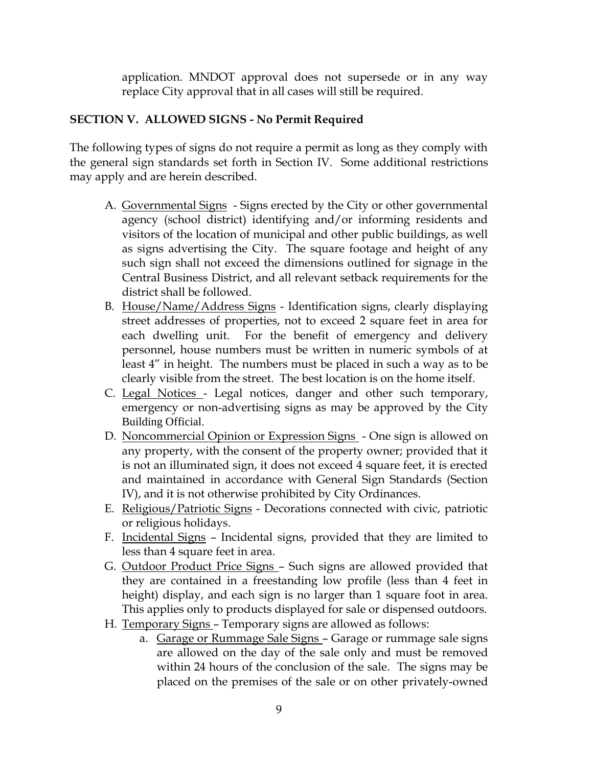application. MNDOT approval does not supersede or in any way replace City approval that in all cases will still be required.

### **SECTION V. ALLOWED SIGNS - No Permit Required**

The following types of signs do not require a permit as long as they comply with the general sign standards set forth in Section IV. Some additional restrictions may apply and are herein described.

- A. Governmental Signs Signs erected by the City or other governmental agency (school district) identifying and/or informing residents and visitors of the location of municipal and other public buildings, as well as signs advertising the City. The square footage and height of any such sign shall not exceed the dimensions outlined for signage in the Central Business District, and all relevant setback requirements for the district shall be followed.
- B. House/Name/Address Signs Identification signs, clearly displaying street addresses of properties, not to exceed 2 square feet in area for each dwelling unit. For the benefit of emergency and delivery personnel, house numbers must be written in numeric symbols of at least 4" in height. The numbers must be placed in such a way as to be clearly visible from the street. The best location is on the home itself.
- C. Legal Notices Legal notices, danger and other such temporary, emergency or non-advertising signs as may be approved by the City Building Official.
- D. Noncommercial Opinion or Expression Signs One sign is allowed on any property, with the consent of the property owner; provided that it is not an illuminated sign, it does not exceed 4 square feet, it is erected and maintained in accordance with General Sign Standards (Section IV), and it is not otherwise prohibited by City Ordinances.
- E. Religious/Patriotic Signs Decorations connected with civic, patriotic or religious holidays.
- F. Incidental Signs Incidental signs, provided that they are limited to less than 4 square feet in area.
- G. Outdoor Product Price Signs Such signs are allowed provided that they are contained in a freestanding low profile (less than 4 feet in height) display, and each sign is no larger than 1 square foot in area. This applies only to products displayed for sale or dispensed outdoors.
- H. Temporary Signs Temporary signs are allowed as follows:
	- a. Garage or Rummage Sale Signs Garage or rummage sale signs are allowed on the day of the sale only and must be removed within 24 hours of the conclusion of the sale. The signs may be placed on the premises of the sale or on other privately-owned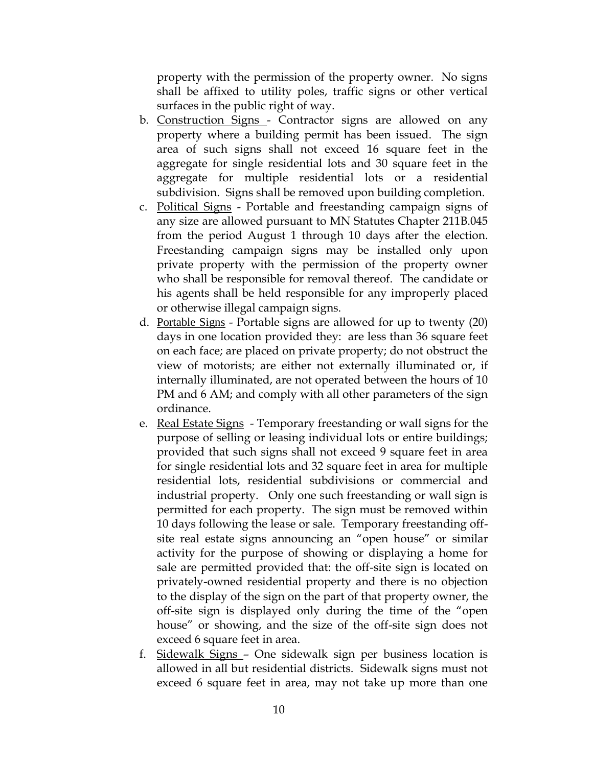property with the permission of the property owner. No signs shall be affixed to utility poles, traffic signs or other vertical surfaces in the public right of way.

- b. Construction Signs Contractor signs are allowed on any property where a building permit has been issued. The sign area of such signs shall not exceed 16 square feet in the aggregate for single residential lots and 30 square feet in the aggregate for multiple residential lots or a residential subdivision. Signs shall be removed upon building completion.
- c. Political Signs Portable and freestanding campaign signs of any size are allowed pursuant to MN Statutes Chapter 211B.045 from the period August 1 through 10 days after the election. Freestanding campaign signs may be installed only upon private property with the permission of the property owner who shall be responsible for removal thereof. The candidate or his agents shall be held responsible for any improperly placed or otherwise illegal campaign signs.
- d. Portable Signs Portable signs are allowed for up to twenty (20) days in one location provided they: are less than 36 square feet on each face; are placed on private property; do not obstruct the view of motorists; are either not externally illuminated or, if internally illuminated, are not operated between the hours of 10 PM and 6 AM; and comply with all other parameters of the sign ordinance.
- e. Real Estate Signs Temporary freestanding or wall signs for the purpose of selling or leasing individual lots or entire buildings; provided that such signs shall not exceed 9 square feet in area for single residential lots and 32 square feet in area for multiple residential lots, residential subdivisions or commercial and industrial property. Only one such freestanding or wall sign is permitted for each property. The sign must be removed within 10 days following the lease or sale. Temporary freestanding offsite real estate signs announcing an "open house" or similar activity for the purpose of showing or displaying a home for sale are permitted provided that: the off-site sign is located on privately-owned residential property and there is no objection to the display of the sign on the part of that property owner, the off-site sign is displayed only during the time of the "open house" or showing, and the size of the off-site sign does not exceed 6 square feet in area.
- f. Sidewalk Signs One sidewalk sign per business location is allowed in all but residential districts. Sidewalk signs must not exceed 6 square feet in area, may not take up more than one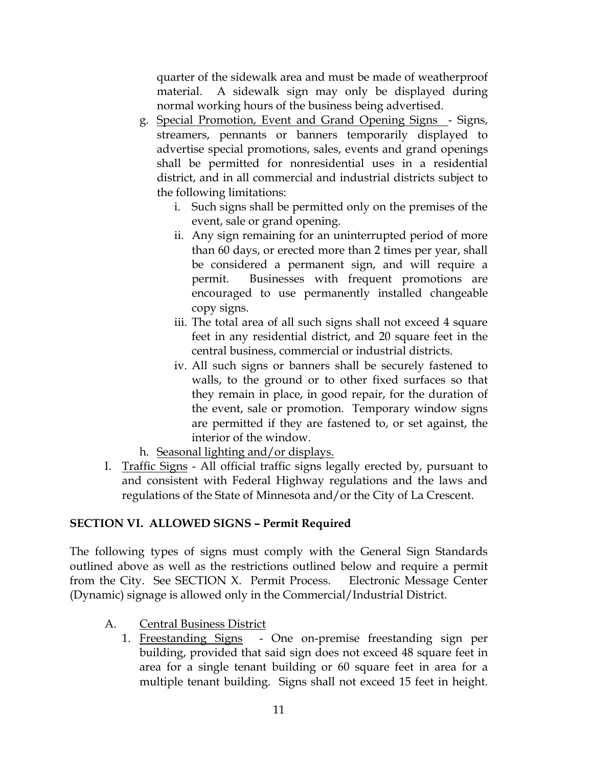quarter of the sidewalk area and must be made of weatherproof material. A sidewalk sign may only be displayed during normal working hours of the business being advertised.

- g. Special Promotion, Event and Grand Opening Signs Signs, streamers, pennants or banners temporarily displayed to advertise special promotions, sales, events and grand openings shall be permitted for nonresidential uses in a residential district, and in all commercial and industrial districts subject to the following limitations:
	- i. Such signs shall be permitted only on the premises of the event, sale or grand opening.
	- ii. Any sign remaining for an uninterrupted period of more than 60 days, or erected more than 2 times per year, shall be considered a permanent sign, and will require a permit. Businesses with frequent promotions are encouraged to use permanently installed changeable copy signs.
	- iii. The total area of all such signs shall not exceed 4 square feet in any residential district, and 20 square feet in the central business, commercial or industrial districts.
	- iv. All such signs or banners shall be securely fastened to walls, to the ground or to other fixed surfaces so that they remain in place, in good repair, for the duration of the event, sale or promotion. Temporary window signs are permitted if they are fastened to, or set against, the interior of the window.
- h. Seasonal lighting and/or displays.
- I. Traffic Signs All official traffic signs legally erected by, pursuant to and consistent with Federal Highway regulations and the laws and regulations of the State of Minnesota and/or the City of La Crescent.

### **SECTION VI. ALLOWED SIGNS – Permit Required**

The following types of signs must comply with the General Sign Standards outlined above as well as the restrictions outlined below and require a permit from the City. See SECTION X. Permit Process. Electronic Message Center (Dynamic) signage is allowed only in the Commercial/Industrial District.

- A. Central Business District
	- 1. Freestanding Signs One on-premise freestanding sign per building, provided that said sign does not exceed 48 square feet in area for a single tenant building or 60 square feet in area for a multiple tenant building. Signs shall not exceed 15 feet in height.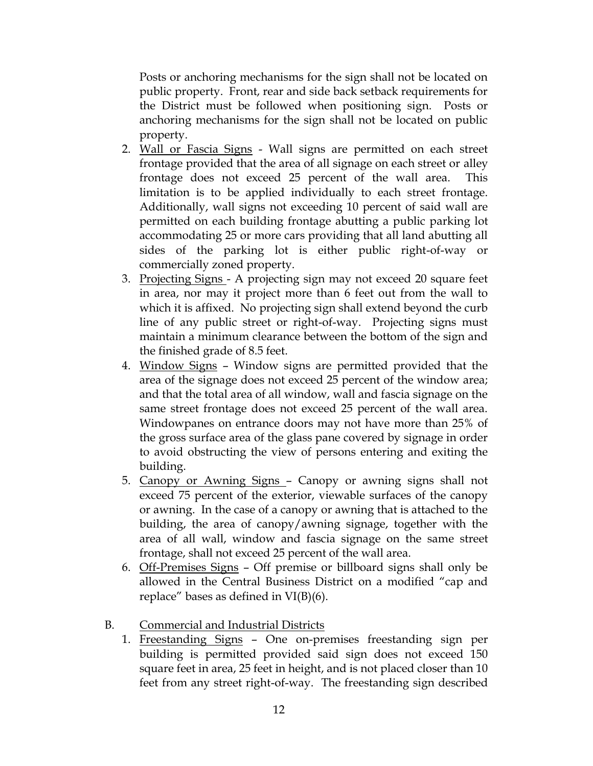Posts or anchoring mechanisms for the sign shall not be located on public property. Front, rear and side back setback requirements for the District must be followed when positioning sign. Posts or anchoring mechanisms for the sign shall not be located on public property.

- 2. Wall or Fascia Signs Wall signs are permitted on each street frontage provided that the area of all signage on each street or alley frontage does not exceed 25 percent of the wall area. This limitation is to be applied individually to each street frontage. Additionally, wall signs not exceeding 10 percent of said wall are permitted on each building frontage abutting a public parking lot accommodating 25 or more cars providing that all land abutting all sides of the parking lot is either public right-of-way or commercially zoned property.
- 3. Projecting Signs A projecting sign may not exceed 20 square feet in area, nor may it project more than 6 feet out from the wall to which it is affixed. No projecting sign shall extend beyond the curb line of any public street or right-of-way. Projecting signs must maintain a minimum clearance between the bottom of the sign and the finished grade of 8.5 feet.
- 4. Window Signs Window signs are permitted provided that the area of the signage does not exceed 25 percent of the window area; and that the total area of all window, wall and fascia signage on the same street frontage does not exceed 25 percent of the wall area. Windowpanes on entrance doors may not have more than 25% of the gross surface area of the glass pane covered by signage in order to avoid obstructing the view of persons entering and exiting the building.
- 5. Canopy or Awning Signs Canopy or awning signs shall not exceed 75 percent of the exterior, viewable surfaces of the canopy or awning. In the case of a canopy or awning that is attached to the building, the area of canopy/awning signage, together with the area of all wall, window and fascia signage on the same street frontage, shall not exceed 25 percent of the wall area.
- 6. Off-Premises Signs Off premise or billboard signs shall only be allowed in the Central Business District on a modified "cap and replace" bases as defined in VI(B)(6).
- B. Commercial and Industrial Districts
	- 1. Freestanding Signs One on-premises freestanding sign per building is permitted provided said sign does not exceed 150 square feet in area, 25 feet in height, and is not placed closer than 10 feet from any street right-of-way. The freestanding sign described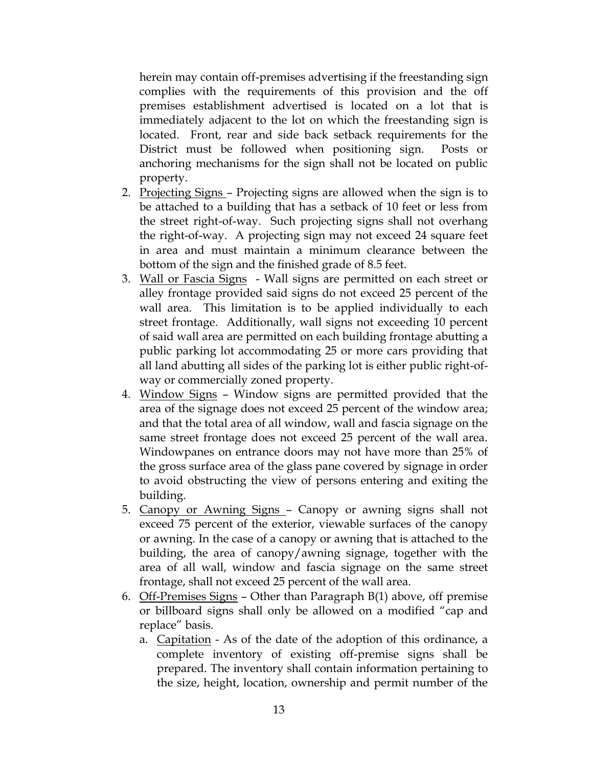herein may contain off-premises advertising if the freestanding sign complies with the requirements of this provision and the off premises establishment advertised is located on a lot that is immediately adjacent to the lot on which the freestanding sign is located. Front, rear and side back setback requirements for the District must be followed when positioning sign. Posts or anchoring mechanisms for the sign shall not be located on public property.

- 2. Projecting Signs Projecting signs are allowed when the sign is to be attached to a building that has a setback of 10 feet or less from the street right-of-way. Such projecting signs shall not overhang the right-of-way. A projecting sign may not exceed 24 square feet in area and must maintain a minimum clearance between the bottom of the sign and the finished grade of 8.5 feet.
- 3. Wall or Fascia Signs Wall signs are permitted on each street or alley frontage provided said signs do not exceed 25 percent of the wall area. This limitation is to be applied individually to each street frontage. Additionally, wall signs not exceeding 10 percent of said wall area are permitted on each building frontage abutting a public parking lot accommodating 25 or more cars providing that all land abutting all sides of the parking lot is either public right-ofway or commercially zoned property.
- 4. Window Signs Window signs are permitted provided that the area of the signage does not exceed 25 percent of the window area; and that the total area of all window, wall and fascia signage on the same street frontage does not exceed 25 percent of the wall area. Windowpanes on entrance doors may not have more than 25% of the gross surface area of the glass pane covered by signage in order to avoid obstructing the view of persons entering and exiting the building.
- 5. Canopy or Awning Signs Canopy or awning signs shall not exceed 75 percent of the exterior, viewable surfaces of the canopy or awning. In the case of a canopy or awning that is attached to the building, the area of canopy/awning signage, together with the area of all wall, window and fascia signage on the same street frontage, shall not exceed 25 percent of the wall area.
- 6. Off-Premises Signs Other than Paragraph B(1) above, off premise or billboard signs shall only be allowed on a modified "cap and replace" basis.
	- a. Capitation As of the date of the adoption of this ordinance, a complete inventory of existing off-premise signs shall be prepared. The inventory shall contain information pertaining to the size, height, location, ownership and permit number of the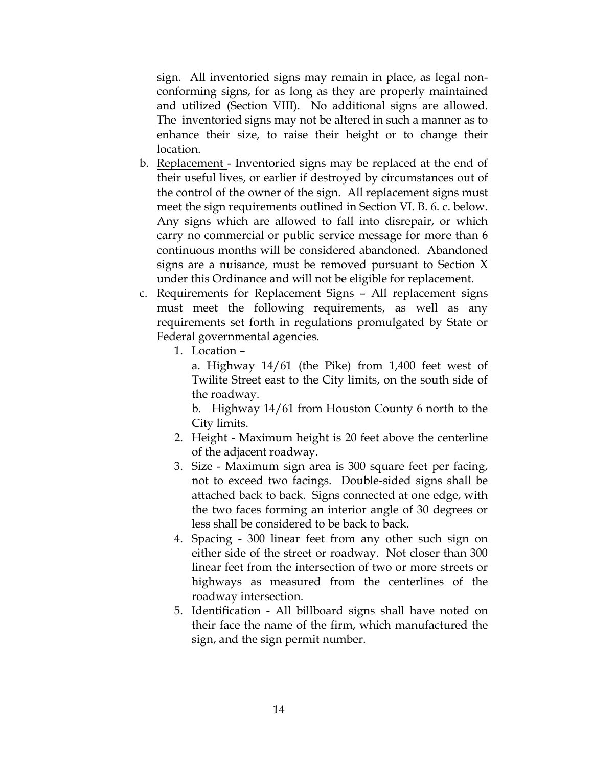sign. All inventoried signs may remain in place, as legal nonconforming signs, for as long as they are properly maintained and utilized (Section VIII). No additional signs are allowed. The inventoried signs may not be altered in such a manner as to enhance their size, to raise their height or to change their location.

- b. Replacement Inventoried signs may be replaced at the end of their useful lives, or earlier if destroyed by circumstances out of the control of the owner of the sign. All replacement signs must meet the sign requirements outlined in Section VI. B. 6. c. below. Any signs which are allowed to fall into disrepair, or which carry no commercial or public service message for more than 6 continuous months will be considered abandoned. Abandoned signs are a nuisance, must be removed pursuant to Section X under this Ordinance and will not be eligible for replacement.
- c. Requirements for Replacement Signs All replacement signs must meet the following requirements, as well as any requirements set forth in regulations promulgated by State or Federal governmental agencies.
	- 1. Location –

a. Highway 14/61 (the Pike) from 1,400 feet west of Twilite Street east to the City limits, on the south side of the roadway.

b. Highway 14/61 from Houston County 6 north to the City limits.

- 2. Height Maximum height is 20 feet above the centerline of the adjacent roadway.
- 3. Size Maximum sign area is 300 square feet per facing, not to exceed two facings. Double-sided signs shall be attached back to back. Signs connected at one edge, with the two faces forming an interior angle of 30 degrees or less shall be considered to be back to back.
- 4. Spacing 300 linear feet from any other such sign on either side of the street or roadway. Not closer than 300 linear feet from the intersection of two or more streets or highways as measured from the centerlines of the roadway intersection.
- 5. Identification All billboard signs shall have noted on their face the name of the firm, which manufactured the sign, and the sign permit number.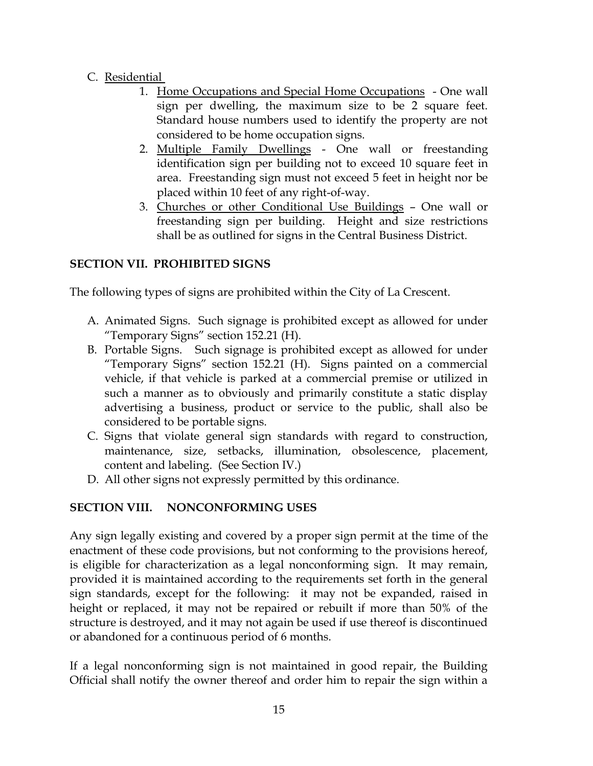# C. Residential

- 1. Home Occupations and Special Home Occupations One wall sign per dwelling, the maximum size to be 2 square feet. Standard house numbers used to identify the property are not considered to be home occupation signs.
- 2. Multiple Family Dwellings One wall or freestanding identification sign per building not to exceed 10 square feet in area. Freestanding sign must not exceed 5 feet in height nor be placed within 10 feet of any right-of-way.
- 3. Churches or other Conditional Use Buildings One wall or freestanding sign per building. Height and size restrictions shall be as outlined for signs in the Central Business District.

## **SECTION VII. PROHIBITED SIGNS**

The following types of signs are prohibited within the City of La Crescent.

- A. Animated Signs. Such signage is prohibited except as allowed for under "Temporary Signs" section 152.21 (H).
- B. Portable Signs. Such signage is prohibited except as allowed for under "Temporary Signs" section 152.21 (H). Signs painted on a commercial vehicle, if that vehicle is parked at a commercial premise or utilized in such a manner as to obviously and primarily constitute a static display advertising a business, product or service to the public, shall also be considered to be portable signs.
- C. Signs that violate general sign standards with regard to construction, maintenance, size, setbacks, illumination, obsolescence, placement, content and labeling. (See Section IV.)
- D. All other signs not expressly permitted by this ordinance.

# **SECTION VIII. NONCONFORMING USES**

Any sign legally existing and covered by a proper sign permit at the time of the enactment of these code provisions, but not conforming to the provisions hereof, is eligible for characterization as a legal nonconforming sign. It may remain, provided it is maintained according to the requirements set forth in the general sign standards, except for the following: it may not be expanded, raised in height or replaced, it may not be repaired or rebuilt if more than 50% of the structure is destroyed, and it may not again be used if use thereof is discontinued or abandoned for a continuous period of 6 months.

If a legal nonconforming sign is not maintained in good repair, the Building Official shall notify the owner thereof and order him to repair the sign within a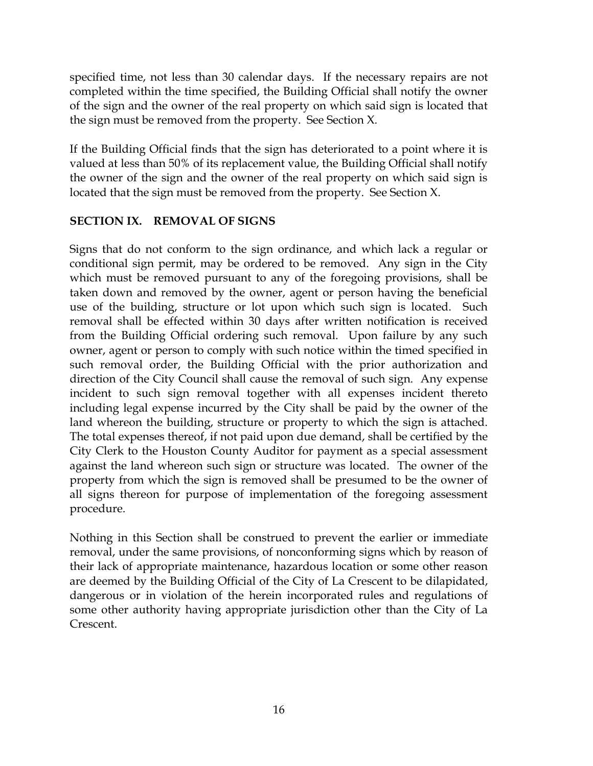specified time, not less than 30 calendar days. If the necessary repairs are not completed within the time specified, the Building Official shall notify the owner of the sign and the owner of the real property on which said sign is located that the sign must be removed from the property. See Section X.

If the Building Official finds that the sign has deteriorated to a point where it is valued at less than 50% of its replacement value, the Building Official shall notify the owner of the sign and the owner of the real property on which said sign is located that the sign must be removed from the property. See Section X.

## **SECTION IX. REMOVAL OF SIGNS**

Signs that do not conform to the sign ordinance, and which lack a regular or conditional sign permit, may be ordered to be removed. Any sign in the City which must be removed pursuant to any of the foregoing provisions, shall be taken down and removed by the owner, agent or person having the beneficial use of the building, structure or lot upon which such sign is located. Such removal shall be effected within 30 days after written notification is received from the Building Official ordering such removal. Upon failure by any such owner, agent or person to comply with such notice within the timed specified in such removal order, the Building Official with the prior authorization and direction of the City Council shall cause the removal of such sign. Any expense incident to such sign removal together with all expenses incident thereto including legal expense incurred by the City shall be paid by the owner of the land whereon the building, structure or property to which the sign is attached. The total expenses thereof, if not paid upon due demand, shall be certified by the City Clerk to the Houston County Auditor for payment as a special assessment against the land whereon such sign or structure was located. The owner of the property from which the sign is removed shall be presumed to be the owner of all signs thereon for purpose of implementation of the foregoing assessment procedure.

Nothing in this Section shall be construed to prevent the earlier or immediate removal, under the same provisions, of nonconforming signs which by reason of their lack of appropriate maintenance, hazardous location or some other reason are deemed by the Building Official of the City of La Crescent to be dilapidated, dangerous or in violation of the herein incorporated rules and regulations of some other authority having appropriate jurisdiction other than the City of La Crescent.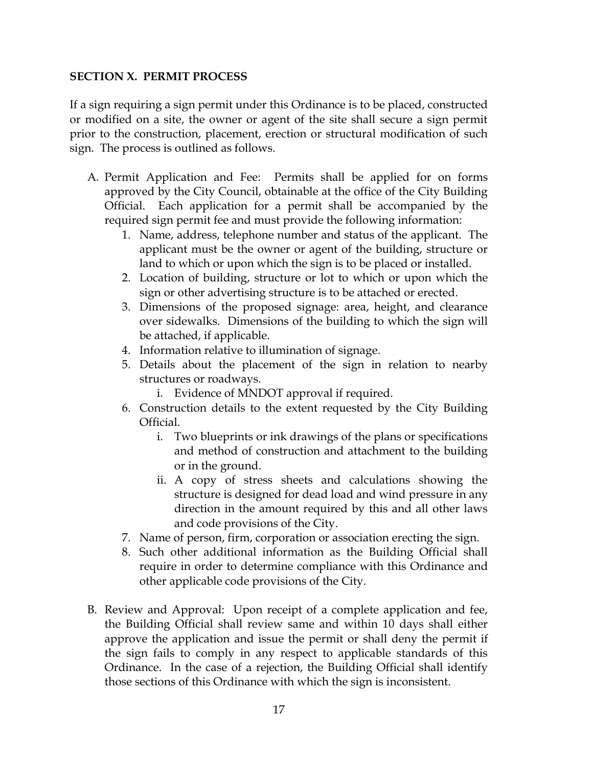### **SECTION X. PERMIT PROCESS**

If a sign requiring a sign permit under this Ordinance is to be placed, constructed or modified on a site, the owner or agent of the site shall secure a sign permit prior to the construction, placement, erection or structural modification of such sign. The process is outlined as follows.

- A. Permit Application and Fee: Permits shall be applied for on forms approved by the City Council, obtainable at the office of the City Building Official. Each application for a permit shall be accompanied by the required sign permit fee and must provide the following information:
	- 1. Name, address, telephone number and status of the applicant. The applicant must be the owner or agent of the building, structure or land to which or upon which the sign is to be placed or installed.
	- 2. Location of building, structure or lot to which or upon which the sign or other advertising structure is to be attached or erected.
	- 3. Dimensions of the proposed signage: area, height, and clearance over sidewalks. Dimensions of the building to which the sign will be attached, if applicable.
	- 4. Information relative to illumination of signage.
	- 5. Details about the placement of the sign in relation to nearby structures or roadways.
		- i. Evidence of MNDOT approval if required.
	- 6. Construction details to the extent requested by the City Building Official.
		- i. Two blueprints or ink drawings of the plans or specifications and method of construction and attachment to the building or in the ground.
		- ii. A copy of stress sheets and calculations showing the structure is designed for dead load and wind pressure in any direction in the amount required by this and all other laws and code provisions of the City.
	- 7. Name of person, firm, corporation or association erecting the sign.
	- 8. Such other additional information as the Building Official shall require in order to determine compliance with this Ordinance and other applicable code provisions of the City.
- B. Review and Approval: Upon receipt of a complete application and fee, the Building Official shall review same and within 10 days shall either approve the application and issue the permit or shall deny the permit if the sign fails to comply in any respect to applicable standards of this Ordinance. In the case of a rejection, the Building Official shall identify those sections of this Ordinance with which the sign is inconsistent.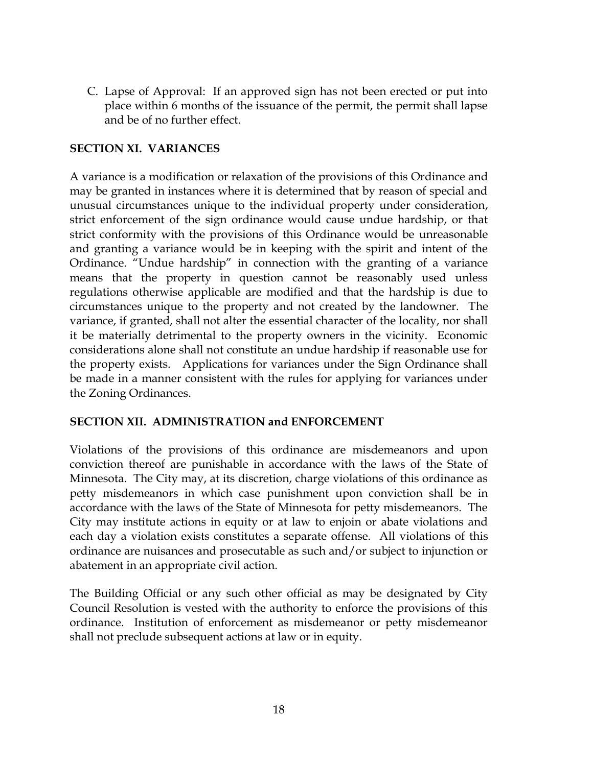C. Lapse of Approval: If an approved sign has not been erected or put into place within 6 months of the issuance of the permit, the permit shall lapse and be of no further effect.

### **SECTION XI. VARIANCES**

A variance is a modification or relaxation of the provisions of this Ordinance and may be granted in instances where it is determined that by reason of special and unusual circumstances unique to the individual property under consideration, strict enforcement of the sign ordinance would cause undue hardship, or that strict conformity with the provisions of this Ordinance would be unreasonable and granting a variance would be in keeping with the spirit and intent of the Ordinance. "Undue hardship" in connection with the granting of a variance means that the property in question cannot be reasonably used unless regulations otherwise applicable are modified and that the hardship is due to circumstances unique to the property and not created by the landowner. The variance, if granted, shall not alter the essential character of the locality, nor shall it be materially detrimental to the property owners in the vicinity. Economic considerations alone shall not constitute an undue hardship if reasonable use for the property exists. Applications for variances under the Sign Ordinance shall be made in a manner consistent with the rules for applying for variances under the Zoning Ordinances.

### **SECTION XII. ADMINISTRATION and ENFORCEMENT**

Violations of the provisions of this ordinance are misdemeanors and upon conviction thereof are punishable in accordance with the laws of the State of Minnesota. The City may, at its discretion, charge violations of this ordinance as petty misdemeanors in which case punishment upon conviction shall be in accordance with the laws of the State of Minnesota for petty misdemeanors. The City may institute actions in equity or at law to enjoin or abate violations and each day a violation exists constitutes a separate offense. All violations of this ordinance are nuisances and prosecutable as such and/or subject to injunction or abatement in an appropriate civil action.

The Building Official or any such other official as may be designated by City Council Resolution is vested with the authority to enforce the provisions of this ordinance. Institution of enforcement as misdemeanor or petty misdemeanor shall not preclude subsequent actions at law or in equity.